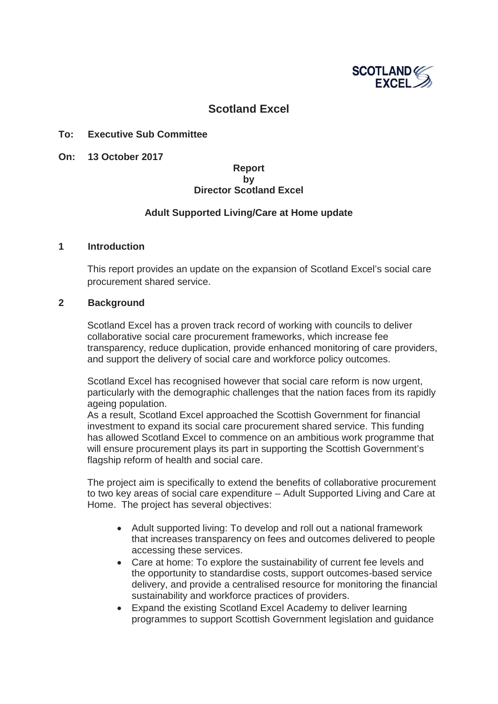

# **Scotland Excel**

### **To: Executive Sub Committee**

**On: 13 October 2017**

### **Report by Director Scotland Excel**

### **Adult Supported Living/Care at Home update**

#### **1 Introduction**

This report provides an update on the expansion of Scotland Excel's social care procurement shared service.

#### **2 Background**

Scotland Excel has a proven track record of working with councils to deliver collaborative social care procurement frameworks, which increase fee transparency, reduce duplication, provide enhanced monitoring of care providers, and support the delivery of social care and workforce policy outcomes.

Scotland Excel has recognised however that social care reform is now urgent, particularly with the demographic challenges that the nation faces from its rapidly ageing population.

As a result, Scotland Excel approached the Scottish Government for financial investment to expand its social care procurement shared service. This funding has allowed Scotland Excel to commence on an ambitious work programme that will ensure procurement plays its part in supporting the Scottish Government's flagship reform of health and social care.

The project aim is specifically to extend the benefits of collaborative procurement to two key areas of social care expenditure – Adult Supported Living and Care at Home. The project has several objectives:

- Adult supported living: To develop and roll out a national framework that increases transparency on fees and outcomes delivered to people accessing these services.
- Care at home: To explore the sustainability of current fee levels and the opportunity to standardise costs, support outcomes-based service delivery, and provide a centralised resource for monitoring the financial sustainability and workforce practices of providers.
- Expand the existing Scotland Excel Academy to deliver learning programmes to support Scottish Government legislation and guidance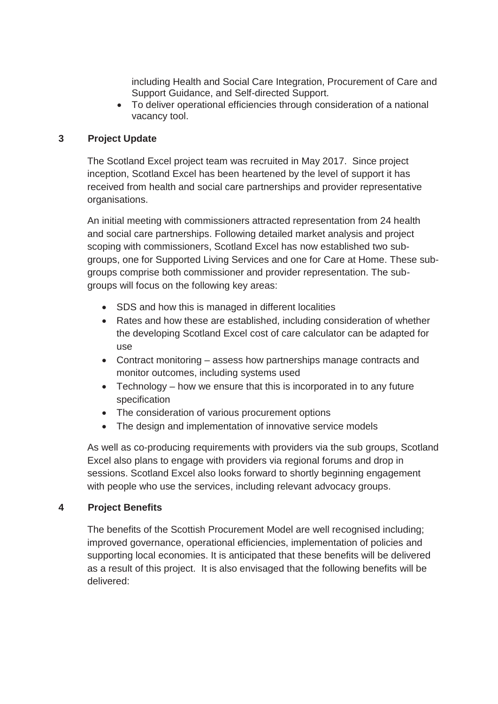including Health and Social Care Integration, Procurement of Care and Support Guidance, and Self-directed Support.

• To deliver operational efficiencies through consideration of a national vacancy tool.

## **3 Project Update**

The Scotland Excel project team was recruited in May 2017. Since project inception, Scotland Excel has been heartened by the level of support it has received from health and social care partnerships and provider representative organisations.

An initial meeting with commissioners attracted representation from 24 health and social care partnerships. Following detailed market analysis and project scoping with commissioners, Scotland Excel has now established two subgroups, one for Supported Living Services and one for Care at Home. These subgroups comprise both commissioner and provider representation. The subgroups will focus on the following key areas:

- SDS and how this is managed in different localities
- Rates and how these are established, including consideration of whether the developing Scotland Excel cost of care calculator can be adapted for use
- Contract monitoring assess how partnerships manage contracts and monitor outcomes, including systems used
- $\bullet$  Technology how we ensure that this is incorporated in to any future specification
- The consideration of various procurement options
- The design and implementation of innovative service models

As well as co-producing requirements with providers via the sub groups, Scotland Excel also plans to engage with providers via regional forums and drop in sessions. Scotland Excel also looks forward to shortly beginning engagement with people who use the services, including relevant advocacy groups.

### **4 Project Benefits**

The benefits of the Scottish Procurement Model are well recognised including; improved governance, operational efficiencies, implementation of policies and supporting local economies. It is anticipated that these benefits will be delivered as a result of this project. It is also envisaged that the following benefits will be delivered: